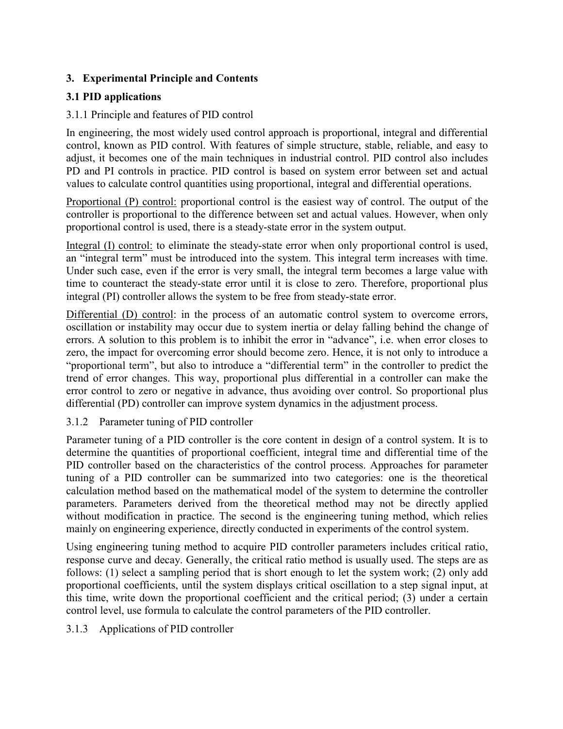# 3. Experimental Principle and Contents

## 3.1 PID applications

## 3.1.1 Principle and features of PID control

In engineering, the most widely used control approach is proportional, integral and differential control, known as PID control. With features of simple structure, stable, reliable, and easy to adjust, it becomes one of the main techniques in industrial control. PID control also includes PD and PI controls in practice. PID control is based on system error between set and actual values to calculate control quantities using proportional, integral and differential operations.

Proportional (P) control: proportional control is the easiest way of control. The output of the controller is proportional to the difference between set and actual values. However, when only proportional control is used, there is a steady-state error in the system output.

Integral (I) control: to eliminate the steady-state error when only proportional control is used, an "integral term" must be introduced into the system. This integral term increases with time. Under such case, even if the error is very small, the integral term becomes a large value with time to counteract the steady-state error until it is close to zero. Therefore, proportional plus integral (PI) controller allows the system to be free from steady-state error.

Differential (D) control: in the process of an automatic control system to overcome errors, oscillation or instability may occur due to system inertia or delay falling behind the change of errors. A solution to this problem is to inhibit the error in "advance", i.e. when error closes to zero, the impact for overcoming error should become zero. Hence, it is not only to introduce a "proportional term", but also to introduce a "differential term" in the controller to predict the trend of error changes. This way, proportional plus differential in a controller can make the error control to zero or negative in advance, thus avoiding over control. So proportional plus differential (PD) controller can improve system dynamics in the adjustment process.

### 3.1.2 Parameter tuning of PID controller

Parameter tuning of a PID controller is the core content in design of a control system. It is to determine the quantities of proportional coefficient, integral time and differential time of the PID controller based on the characteristics of the control process. Approaches for parameter tuning of a PID controller can be summarized into two categories: one is the theoretical calculation method based on the mathematical model of the system to determine the controller parameters. Parameters derived from the theoretical method may not be directly applied without modification in practice. The second is the engineering tuning method, which relies mainly on engineering experience, directly conducted in experiments of the control system.

Using engineering tuning method to acquire PID controller parameters includes critical ratio, response curve and decay. Generally, the critical ratio method is usually used. The steps are as follows: (1) select a sampling period that is short enough to let the system work; (2) only add proportional coefficients, until the system displays critical oscillation to a step signal input, at this time, write down the proportional coefficient and the critical period; (3) under a certain control level, use formula to calculate the control parameters of the PID controller.

## 3.1.3 Applications of PID controller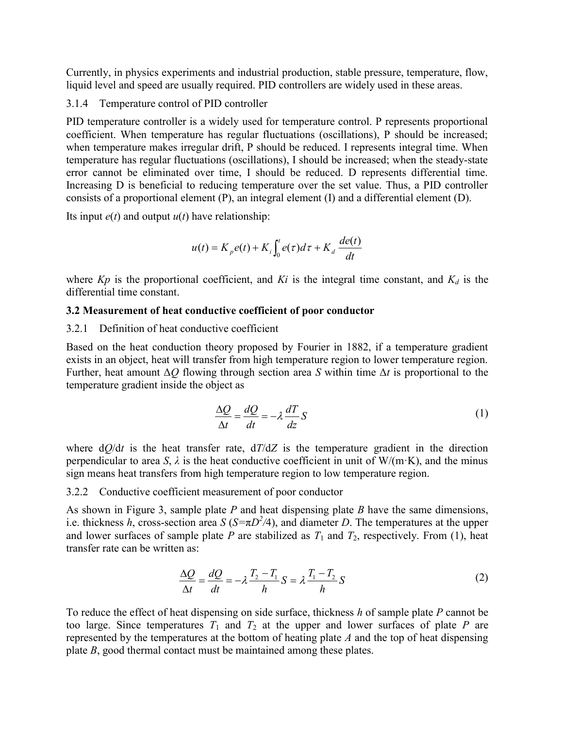Currently, in physics experiments and industrial production, stable pressure, temperature, flow, liquid level and speed are usually required. PID controllers are widely used in these areas.

#### 3.1.4 Temperature control of PID controller

PID temperature controller is a widely used for temperature control. P represents proportional coefficient. When temperature has regular fluctuations (oscillations), P should be increased; when temperature makes irregular drift, P should be reduced. I represents integral time. When temperature has regular fluctuations (oscillations), I should be increased; when the steady-state error cannot be eliminated over time, I should be reduced. D represents differential time. Increasing D is beneficial to reducing temperature over the set value. Thus, a PID controller consists of a proportional element (P), an integral element (I) and a differential element (D).

Its input  $e(t)$  and output  $u(t)$  have relationship:

$$
u(t) = K_p e(t) + K_i \int_0^t e(\tau) d\tau + K_d \frac{de(t)}{dt}
$$

where  $Kp$  is the proportional coefficient, and  $Ki$  is the integral time constant, and  $K<sub>d</sub>$  is the differential time constant.

### 3.2 Measurement of heat conductive coefficient of poor conductor

#### 3.2.1 Definition of heat conductive coefficient

Based on the heat conduction theory proposed by Fourier in 1882, if a temperature gradient exists in an object, heat will transfer from high temperature region to lower temperature region. Further, heat amount  $\Delta Q$  flowing through section area S within time  $\Delta t$  is proportional to the temperature gradient inside the object as

$$
\frac{\Delta Q}{\Delta t} = \frac{dQ}{dt} = -\lambda \frac{dT}{dz} S \tag{1}
$$

where  $dQ/dt$  is the heat transfer rate,  $dT/dZ$  is the temperature gradient in the direction perpendicular to area S,  $\lambda$  is the heat conductive coefficient in unit of W/(m·K), and the minus sign means heat transfers from high temperature region to low temperature region.

#### 3.2.2 Conductive coefficient measurement of poor conductor

As shown in Figure 3, sample plate  $P$  and heat dispensing plate  $B$  have the same dimensions, i.e. thickness h, cross-section area  $S(S=\pi D^2/4)$ , and diameter D. The temperatures at the upper and lower surfaces of sample plate P are stabilized as  $T_1$  and  $T_2$ , respectively. From (1), heat transfer rate can be written as:

$$
\frac{\Delta Q}{\Delta t} = \frac{dQ}{dt} = -\lambda \frac{T_2 - T_1}{h} S = \lambda \frac{T_1 - T_2}{h} S \tag{2}
$$

To reduce the effect of heat dispensing on side surface, thickness  $h$  of sample plate  $P$  cannot be too large. Since temperatures  $T_1$  and  $T_2$  at the upper and lower surfaces of plate P are represented by the temperatures at the bottom of heating plate  $A$  and the top of heat dispensing plate B, good thermal contact must be maintained among these plates.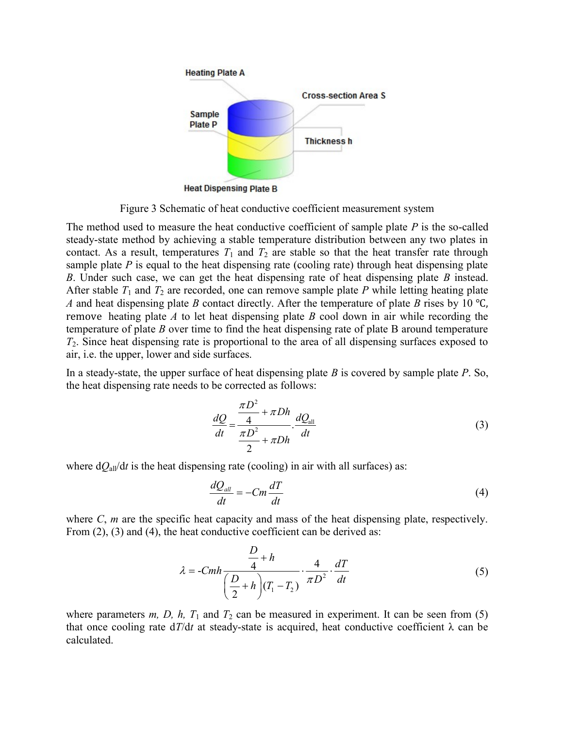

Figure 3 Schematic of heat conductive coefficient measurement system

The method used to measure the heat conductive coefficient of sample plate  $P$  is the so-called steady-state method by achieving a stable temperature distribution between any two plates in contact. As a result, temperatures  $T_1$  and  $T_2$  are stable so that the heat transfer rate through sample plate  $P$  is equal to the heat dispensing rate (cooling rate) through heat dispensing plate B. Under such case, we can get the heat dispensing rate of heat dispensing plate  $B$  instead. After stable  $T_1$  and  $T_2$  are recorded, one can remove sample plate P while letting heating plate A and heat dispensing plate B contact directly. After the temperature of plate B rises by 10 °C, remove heating plate A to let heat dispensing plate B cool down in air while recording the temperature of plate  $B$  over time to find the heat dispensing rate of plate  $B$  around temperature  $T_2$ . Since heat dispensing rate is proportional to the area of all dispensing surfaces exposed to air, i.e. the upper, lower and side surfaces.

In a steady-state, the upper surface of heat dispensing plate  $B$  is covered by sample plate  $P$ . So, the heat dispensing rate needs to be corrected as follows:

$$
\frac{dQ}{dt} = \frac{\frac{\pi D^2}{4} + \pi Dh}{\frac{\pi D^2}{2} + \pi Dh} \cdot \frac{dQ_{all}}{dt}
$$
\n(3)

where  $dQ_{all}/dt$  is the heat dispensing rate (cooling) in air with all surfaces) as:

$$
\frac{dQ_{all}}{dt} = -Cm\frac{dT}{dt} \tag{4}
$$

where  $C$ ,  $m$  are the specific heat capacity and mass of the heat dispensing plate, respectively. From  $(2)$ ,  $(3)$  and  $(4)$ , the heat conductive coefficient can be derived as:

$$
\lambda = -Cmh \frac{\frac{D}{4} + h}{\left(\frac{D}{2} + h\right)(T_1 - T_2)} \cdot \frac{4}{\pi D^2} \cdot \frac{dT}{dt}
$$
\n(5)

where parameters m, D, h,  $T_1$  and  $T_2$  can be measured in experiment. It can be seen from (5) that once cooling rate  $dT/dt$  at steady-state is acquired, heat conductive coefficient  $\lambda$  can be calculated.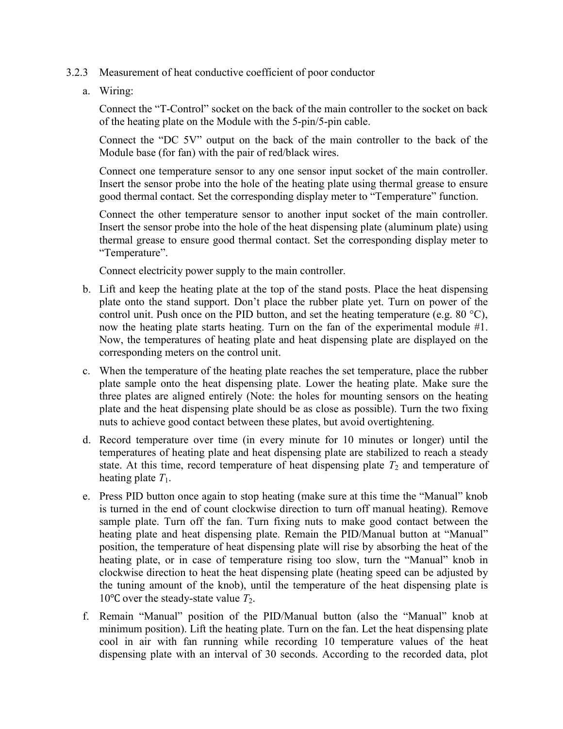- 3.2.3 Measurement of heat conductive coefficient of poor conductor
	- a. Wiring:

Connect the "T-Control" socket on the back of the main controller to the socket on back of the heating plate on the Module with the 5-pin/5-pin cable.

Connect the "DC 5V" output on the back of the main controller to the back of the Module base (for fan) with the pair of red/black wires.

Connect one temperature sensor to any one sensor input socket of the main controller. Insert the sensor probe into the hole of the heating plate using thermal grease to ensure good thermal contact. Set the corresponding display meter to "Temperature" function.

Connect the other temperature sensor to another input socket of the main controller. Insert the sensor probe into the hole of the heat dispensing plate (aluminum plate) using thermal grease to ensure good thermal contact. Set the corresponding display meter to "Temperature".

Connect electricity power supply to the main controller.

- b. Lift and keep the heating plate at the top of the stand posts. Place the heat dispensing plate onto the stand support. Don't place the rubber plate yet. Turn on power of the control unit. Push once on the PID button, and set the heating temperature (e.g.  $80^{\circ}$ C), now the heating plate starts heating. Turn on the fan of the experimental module #1. Now, the temperatures of heating plate and heat dispensing plate are displayed on the corresponding meters on the control unit.
- c. When the temperature of the heating plate reaches the set temperature, place the rubber plate sample onto the heat dispensing plate. Lower the heating plate. Make sure the three plates are aligned entirely (Note: the holes for mounting sensors on the heating plate and the heat dispensing plate should be as close as possible). Turn the two fixing nuts to achieve good contact between these plates, but avoid overtightening.
- d. Record temperature over time (in every minute for 10 minutes or longer) until the temperatures of heating plate and heat dispensing plate are stabilized to reach a steady state. At this time, record temperature of heat dispensing plate  $T_2$  and temperature of heating plate  $T_1$ .
- e. Press PID button once again to stop heating (make sure at this time the "Manual" knob is turned in the end of count clockwise direction to turn off manual heating). Remove sample plate. Turn off the fan. Turn fixing nuts to make good contact between the heating plate and heat dispensing plate. Remain the PID/Manual button at "Manual" position, the temperature of heat dispensing plate will rise by absorbing the heat of the heating plate, or in case of temperature rising too slow, turn the "Manual" knob in clockwise direction to heat the heat dispensing plate (heating speed can be adjusted by the tuning amount of the knob), until the temperature of the heat dispensing plate is 10<sup>o</sup>C over the steady-state value  $T_2$ .
- f. Remain "Manual" position of the PID/Manual button (also the "Manual" knob at minimum position). Lift the heating plate. Turn on the fan. Let the heat dispensing plate cool in air with fan running while recording 10 temperature values of the heat dispensing plate with an interval of 30 seconds. According to the recorded data, plot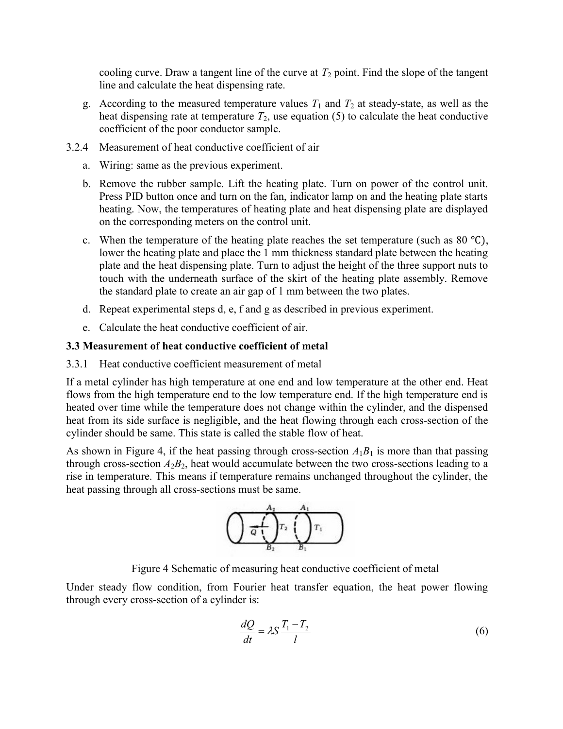cooling curve. Draw a tangent line of the curve at  $T_2$  point. Find the slope of the tangent line and calculate the heat dispensing rate.

- g. According to the measured temperature values  $T_1$  and  $T_2$  at steady-state, as well as the heat dispensing rate at temperature  $T_2$ , use equation (5) to calculate the heat conductive coefficient of the poor conductor sample.
- 3.2.4 Measurement of heat conductive coefficient of air
	- a. Wiring: same as the previous experiment.
	- b. Remove the rubber sample. Lift the heating plate. Turn on power of the control unit. Press PID button once and turn on the fan, indicator lamp on and the heating plate starts heating. Now, the temperatures of heating plate and heat dispensing plate are displayed on the corresponding meters on the control unit.
	- c. When the temperature of the heating plate reaches the set temperature (such as  $80^{\circ}$ C), lower the heating plate and place the 1 mm thickness standard plate between the heating plate and the heat dispensing plate. Turn to adjust the height of the three support nuts to touch with the underneath surface of the skirt of the heating plate assembly. Remove the standard plate to create an air gap of 1 mm between the two plates.
	- d. Repeat experimental steps d, e, f and g as described in previous experiment.
	- e. Calculate the heat conductive coefficient of air.

## 3.3 Measurement of heat conductive coefficient of metal

### 3.3.1 Heat conductive coefficient measurement of metal

If a metal cylinder has high temperature at one end and low temperature at the other end. Heat flows from the high temperature end to the low temperature end. If the high temperature end is heated over time while the temperature does not change within the cylinder, and the dispensed heat from its side surface is negligible, and the heat flowing through each cross-section of the cylinder should be same. This state is called the stable flow of heat.

As shown in Figure 4, if the heat passing through cross-section  $A_1B_1$  is more than that passing through cross-section  $A_2B_2$ , heat would accumulate between the two cross-sections leading to a rise in temperature. This means if temperature remains unchanged throughout the cylinder, the heat passing through all cross-sections must be same.



Figure 4 Schematic of measuring heat conductive coefficient of metal

Under steady flow condition, from Fourier heat transfer equation, the heat power flowing through every cross-section of a cylinder is:

$$
\frac{dQ}{dt} = \lambda S \frac{T_1 - T_2}{l} \tag{6}
$$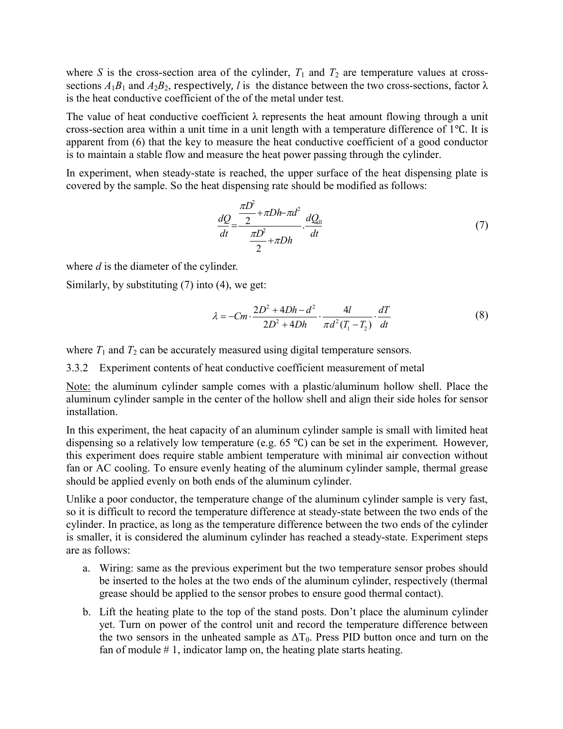where S is the cross-section area of the cylinder,  $T_1$  and  $T_2$  are temperature values at crosssections  $A_1B_1$  and  $A_2B_2$ , respectively, l is the distance between the two cross-sections, factor  $\lambda$ is the heat conductive coefficient of the of the metal under test.

The value of heat conductive coefficient  $\lambda$  represents the heat amount flowing through a unit cross-section area within a unit time in a unit length with a temperature difference of 1℃. It is apparent from (6) that the key to measure the heat conductive coefficient of a good conductor is to maintain a stable flow and measure the heat power passing through the cylinder.

In experiment, when steady-state is reached, the upper surface of the heat dispensing plate is covered by the sample. So the heat dispensing rate should be modified as follows:

$$
\frac{dQ}{dt} = \frac{\frac{\pi D^2}{2} + \pi Dh - \pi d^2}{\frac{\pi D^2}{2} + \pi Dh} \cdot \frac{dQ_{all}}{dt}
$$
\n(7)

where  $d$  is the diameter of the cylinder.

Similarly, by substituting (7) into (4), we get:

$$
\lambda = -Cm \cdot \frac{2D^2 + 4Dh - d^2}{2D^2 + 4Dh} \cdot \frac{4l}{\pi d^2 (T_1 - T_2)} \cdot \frac{dT}{dt}
$$
 (8)

where  $T_1$  and  $T_2$  can be accurately measured using digital temperature sensors.

3.3.2 Experiment contents of heat conductive coefficient measurement of metal

Note: the aluminum cylinder sample comes with a plastic/aluminum hollow shell. Place the aluminum cylinder sample in the center of the hollow shell and align their side holes for sensor installation.

In this experiment, the heat capacity of an aluminum cylinder sample is small with limited heat dispensing so a relatively low temperature (e.g. 65 ℃) can be set in the experiment. However, this experiment does require stable ambient temperature with minimal air convection without fan or AC cooling. To ensure evenly heating of the aluminum cylinder sample, thermal grease should be applied evenly on both ends of the aluminum cylinder.

Unlike a poor conductor, the temperature change of the aluminum cylinder sample is very fast, so it is difficult to record the temperature difference at steady-state between the two ends of the cylinder. In practice, as long as the temperature difference between the two ends of the cylinder is smaller, it is considered the aluminum cylinder has reached a steady-state. Experiment steps are as follows:

- a. Wiring: same as the previous experiment but the two temperature sensor probes should be inserted to the holes at the two ends of the aluminum cylinder, respectively (thermal grease should be applied to the sensor probes to ensure good thermal contact).
- b. Lift the heating plate to the top of the stand posts. Don't place the aluminum cylinder yet. Turn on power of the control unit and record the temperature difference between the two sensors in the unheated sample as  $\Delta T_0$ . Press PID button once and turn on the fan of module  $# 1$ , indicator lamp on, the heating plate starts heating.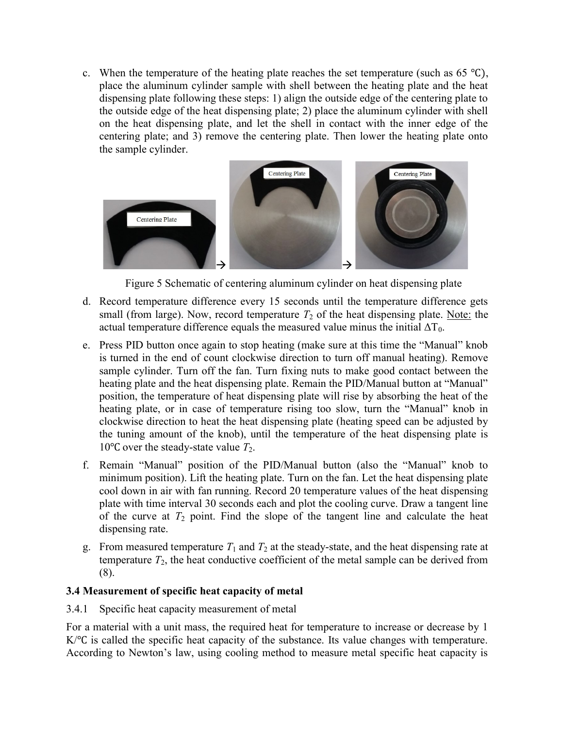c. When the temperature of the heating plate reaches the set temperature (such as  $65 \text{ }^{\circ}C$ ), place the aluminum cylinder sample with shell between the heating plate and the heat dispensing plate following these steps: 1) align the outside edge of the centering plate to the outside edge of the heat dispensing plate; 2) place the aluminum cylinder with shell on the heat dispensing plate, and let the shell in contact with the inner edge of the centering plate; and 3) remove the centering plate. Then lower the heating plate onto the sample cylinder.



Figure 5 Schematic of centering aluminum cylinder on heat dispensing plate

- d. Record temperature difference every 15 seconds until the temperature difference gets small (from large). Now, record temperature  $T_2$  of the heat dispensing plate. Note: the actual temperature difference equals the measured value minus the initial  $\Delta T_0$ .
- e. Press PID button once again to stop heating (make sure at this time the "Manual" knob is turned in the end of count clockwise direction to turn off manual heating). Remove sample cylinder. Turn off the fan. Turn fixing nuts to make good contact between the heating plate and the heat dispensing plate. Remain the PID/Manual button at "Manual" position, the temperature of heat dispensing plate will rise by absorbing the heat of the heating plate, or in case of temperature rising too slow, turn the "Manual" knob in clockwise direction to heat the heat dispensing plate (heating speed can be adjusted by the tuning amount of the knob), until the temperature of the heat dispensing plate is 10°C over the steady-state value  $T_2$ .
- f. Remain "Manual" position of the PID/Manual button (also the "Manual" knob to minimum position). Lift the heating plate. Turn on the fan. Let the heat dispensing plate cool down in air with fan running. Record 20 temperature values of the heat dispensing plate with time interval 30 seconds each and plot the cooling curve. Draw a tangent line of the curve at  $T_2$  point. Find the slope of the tangent line and calculate the heat dispensing rate.
- g. From measured temperature  $T_1$  and  $T_2$  at the steady-state, and the heat dispensing rate at temperature  $T_2$ , the heat conductive coefficient of the metal sample can be derived from (8).

### 3.4 Measurement of specific heat capacity of metal

3.4.1 Specific heat capacity measurement of metal

For a material with a unit mass, the required heat for temperature to increase or decrease by 1 K/<sup>o</sup>C is called the specific heat capacity of the substance. Its value changes with temperature. According to Newton's law, using cooling method to measure metal specific heat capacity is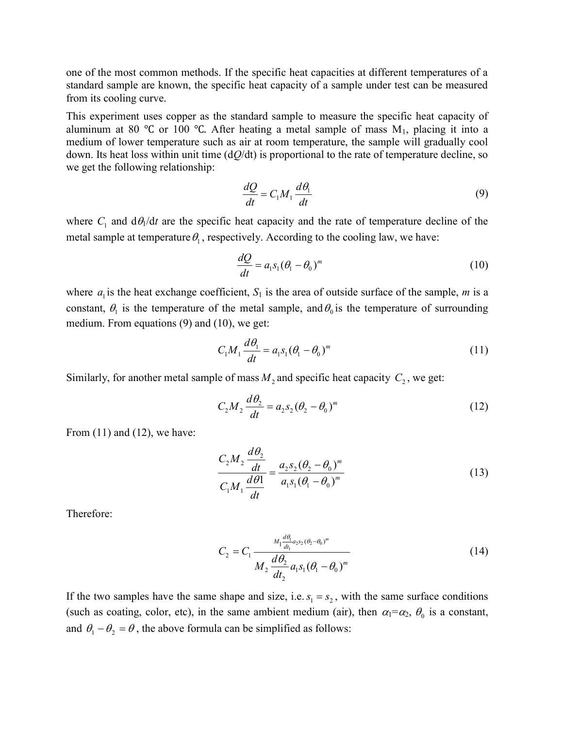one of the most common methods. If the specific heat capacities at different temperatures of a standard sample are known, the specific heat capacity of a sample under test can be measured from its cooling curve.

This experiment uses copper as the standard sample to measure the specific heat capacity of aluminum at 80 °C or 100 °C. After heating a metal sample of mass  $M_1$ , placing it into a medium of lower temperature such as air at room temperature, the sample will gradually cool down. Its heat loss within unit time  $(dQ/dt)$  is proportional to the rate of temperature decline, so we get the following relationship:

$$
\frac{dQ}{dt} = C_1 M_1 \frac{d\theta_1}{dt}
$$
\n(9)

where  $C_1$  and  $d\theta_1/dt$  are the specific heat capacity and the rate of temperature decline of the metal sample at temperature  $\theta_1$ , respectively. According to the cooling law, we have:

$$
\frac{dQ}{dt} = a_1 s_1 (\theta_1 - \theta_0)^m \tag{10}
$$

where  $a_1$  is the heat exchange coefficient,  $S_1$  is the area of outside surface of the sample, m is a constant,  $\theta_1$  is the temperature of the metal sample, and  $\theta_0$  is the temperature of surrounding medium. From equations (9) and (10), we get:

$$
C_1 M_1 \frac{d\theta_1}{dt} = a_1 s_1 (\theta_1 - \theta_0)^m
$$
 (11)

Similarly, for another metal sample of mass  $M_2$  and specific heat capacity  $C_2$ , we get:

$$
C_2 M_2 \frac{d\theta_2}{dt} = a_2 s_2 (\theta_2 - \theta_0)^m
$$
 (12)

From  $(11)$  and  $(12)$ , we have:

$$
\frac{C_2 M_2 \frac{d\theta_2}{dt}}{C_1 M_1 \frac{d\theta_1}{dt}} = \frac{a_2 s_2 (\theta_2 - \theta_0)^m}{a_1 s_1 (\theta_1 - \theta_0)^m}
$$
(13)

Therefore:

$$
C_2 = C_1 \frac{M_1 \frac{d\theta_1}{dt_1} a_2 s_2 (\theta_2 - \theta_0)^m}{M_2 \frac{d\theta_2}{dt_2} a_1 s_1 (\theta_1 - \theta_0)^m}
$$
(14)

If the two samples have the same shape and size, i.e.  $s_1 = s_2$ , with the same surface conditions (such as coating, color, etc), in the same ambient medium (air), then  $\alpha_1 = \alpha_2$ ,  $\theta_0$  is a constant, and  $\theta_1 - \theta_2 = \theta$ , the above formula can be simplified as follows: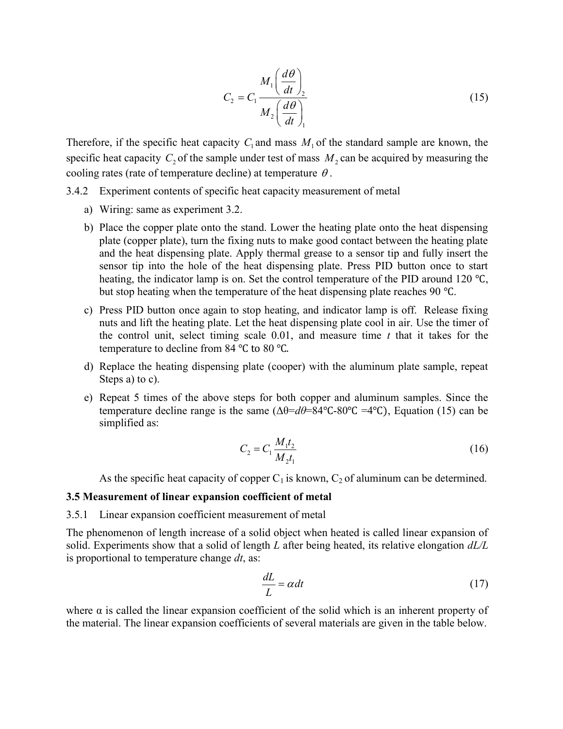$$
C_2 = C_1 \frac{M_1 \left(\frac{d\theta}{dt}\right)_2}{M_2 \left(\frac{d\theta}{dt}\right)_1}
$$
(15)

Therefore, if the specific heat capacity  $C_1$  and mass  $M_1$  of the standard sample are known, the specific heat capacity  $C_2$  of the sample under test of mass  $M_2$  can be acquired by measuring the cooling rates (rate of temperature decline) at temperature  $\theta$ .

- 3.4.2 Experiment contents of specific heat capacity measurement of metal
	- a) Wiring: same as experiment 3.2.
	- b) Place the copper plate onto the stand. Lower the heating plate onto the heat dispensing plate (copper plate), turn the fixing nuts to make good contact between the heating plate and the heat dispensing plate. Apply thermal grease to a sensor tip and fully insert the sensor tip into the hole of the heat dispensing plate. Press PID button once to start heating, the indicator lamp is on. Set the control temperature of the PID around 120 °C, but stop heating when the temperature of the heat dispensing plate reaches 90 ℃.
	- c) Press PID button once again to stop heating, and indicator lamp is off. Release fixing nuts and lift the heating plate. Let the heat dispensing plate cool in air. Use the timer of the control unit, select timing scale  $0.01$ , and measure time  $t$  that it takes for the temperature to decline from 84 ℃ to 80 ℃.
	- d) Replace the heating dispensing plate (cooper) with the aluminum plate sample, repeat Steps a) to c).
	- e) Repeat 5 times of the above steps for both copper and aluminum samples. Since the temperature decline range is the same  $(\Delta\theta = d\theta = 84^{\circ}\text{C} - 80^{\circ}\text{C} = 4^{\circ}\text{C})$ , Equation (15) can be simplified as:

$$
C_2 = C_1 \frac{M_1 t_2}{M_2 t_1} \tag{16}
$$

As the specific heat capacity of copper  $C_1$  is known,  $C_2$  of aluminum can be determined.

#### 3.5 Measurement of linear expansion coefficient of metal

#### 3.5.1 Linear expansion coefficient measurement of metal

The phenomenon of length increase of a solid object when heated is called linear expansion of solid. Experiments show that a solid of length L after being heated, its relative elongation  $dL/L$ is proportional to temperature change  $dt$ , as:

$$
\frac{dL}{L} = \alpha dt \tag{17}
$$

where  $\alpha$  is called the linear expansion coefficient of the solid which is an inherent property of the material. The linear expansion coefficients of several materials are given in the table below.